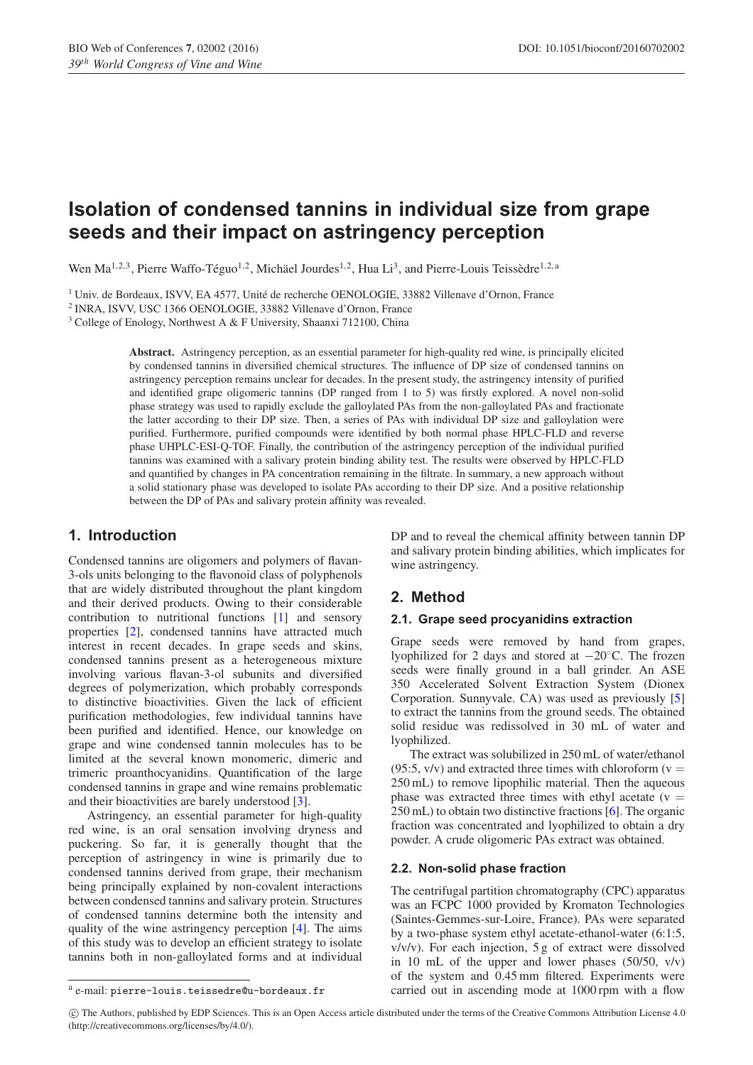# **Isolation of condensed tannins in individual size from grape seeds and their impact on astringency perception**

Wen Ma<sup>1,2,3</sup>, Pierre Waffo-Téguo<sup>1,2</sup>, Michäel Jourdes<sup>1,2</sup>, Hua Li<sup>3</sup>, and Pierre-Louis Teissèdre<sup>1,2, a</sup>

<sup>1</sup> Univ. de Bordeaux, ISVV, EA 4577, Unité de recherche OENOLOGIE, 33882 Villenave d'Ornon, France

<sup>2</sup> INRA, ISVV, USC 1366 OENOLOGIE, 33882 Villenave d'Ornon, France

<sup>3</sup> College of Enology, Northwest A & F University, Shaanxi 712100, China

**Abstract.** Astringency perception, as an essential parameter for high-quality red wine, is principally elicited by condensed tannins in diversified chemical structures. The influence of DP size of condensed tannins on astringency perception remains unclear for decades. In the present study, the astringency intensity of purified and identified grape oligomeric tannins (DP ranged from 1 to 5) was firstly explored. A novel non-solid phase strategy was used to rapidly exclude the galloylated PAs from the non-galloylated PAs and fractionate the latter according to their DP size. Then, a series of PAs with individual DP size and galloylation were purified. Furthermore, purified compounds were identified by both normal phase HPLC-FLD and reverse phase UHPLC-ESI-Q-TOF. Finally, the contribution of the astringency perception of the individual purified tannins was examined with a salivary protein binding ability test. The results were observed by HPLC-FLD and quantified by changes in PA concentration remaining in the filtrate. In summary, a new approach without a solid stationary phase was developed to isolate PAs according to their DP size. And a positive relationship between the DP of PAs and salivary protein affinity was revealed.

# **1. Introduction**

Condensed tannins are oligomers and polymers of flavan-3-ols units belonging to the flavonoid class of polyphenols that are widely distributed throughout the plant kingdom and their derived products. Owing to their considerable contribution to nutritional functions [\[1\]](#page-3-0) and sensory properties [\[2\]](#page-3-1), condensed tannins have attracted much interest in recent decades. In grape seeds and skins, condensed tannins present as a heterogeneous mixture involving various flavan-3-ol subunits and diversified degrees of polymerization, which probably corresponds to distinctive bioactivities. Given the lack of efficient purification methodologies, few individual tannins have been purified and identified. Hence, our knowledge on grape and wine condensed tannin molecules has to be limited at the several known monomeric, dimeric and trimeric proanthocyanidins. Quantification of the large condensed tannins in grape and wine remains problematic and their bioactivities are barely understood [\[3\]](#page-3-2).

Astringency, an essential parameter for high-quality red wine, is an oral sensation involving dryness and puckering. So far, it is generally thought that the perception of astringency in wine is primarily due to condensed tannins derived from grape, their mechanism being principally explained by non-covalent interactions between condensed tannins and salivary protein. Structures of condensed tannins determine both the intensity and quality of the wine astringency perception [\[4](#page-3-3)]. The aims of this study was to develop an efficient strategy to isolate tannins both in non-galloylated forms and at individual

DP and to reveal the chemical affinity between tannin DP and salivary protein binding abilities, which implicates for wine astringency.

# **2. Method**

#### **2.1. Grape seed procyanidins extraction**

Grape seeds were removed by hand from grapes, lyophilized for 2 days and stored at −20◦C. The frozen seeds were finally ground in a ball grinder. An ASE 350 Accelerated Solvent Extraction System (Dionex Corporation. Sunnyvale. CA) was used as previously [\[5\]](#page-3-4) to extract the tannins from the ground seeds. The obtained solid residue was redissolved in 30 mL of water and lyophilized.

The extract was solubilized in 250 mL of water/ethanol (95:5,  $v/v$ ) and extracted three times with chloroform ( $v =$ 250 mL) to remove lipophilic material. Then the aqueous phase was extracted three times with ethyl acetate ( $v =$ 250 mL) to obtain two distinctive fractions [\[6](#page-3-5)]. The organic fraction was concentrated and lyophilized to obtain a dry powder. A crude oligomeric PAs extract was obtained.

#### **2.2. Non-solid phase fraction**

The centrifugal partition chromatography (CPC) apparatus was an FCPC 1000 provided by Kromaton Technologies (Saintes-Gemmes-sur-Loire, France). PAs were separated by a two-phase system ethyl acetate-ethanol-water (6:1:5, v/v/v). For each injection, 5 g of extract were dissolved in 10 mL of the upper and lower phases (50/50, v/v) of the system and 0.45 mm filtered. Experiments were carried out in ascending mode at 1000 rpm with a flow

c The Authors, published by EDP Sciences. This is an Open Access article distributed under the terms of the Creative Commons Attribution License 4.0 (http://creativecommons.org/licenses/by/4.0/).

<sup>a</sup> e-mail: pierre-louis.teissedre@u-bordeaux.fr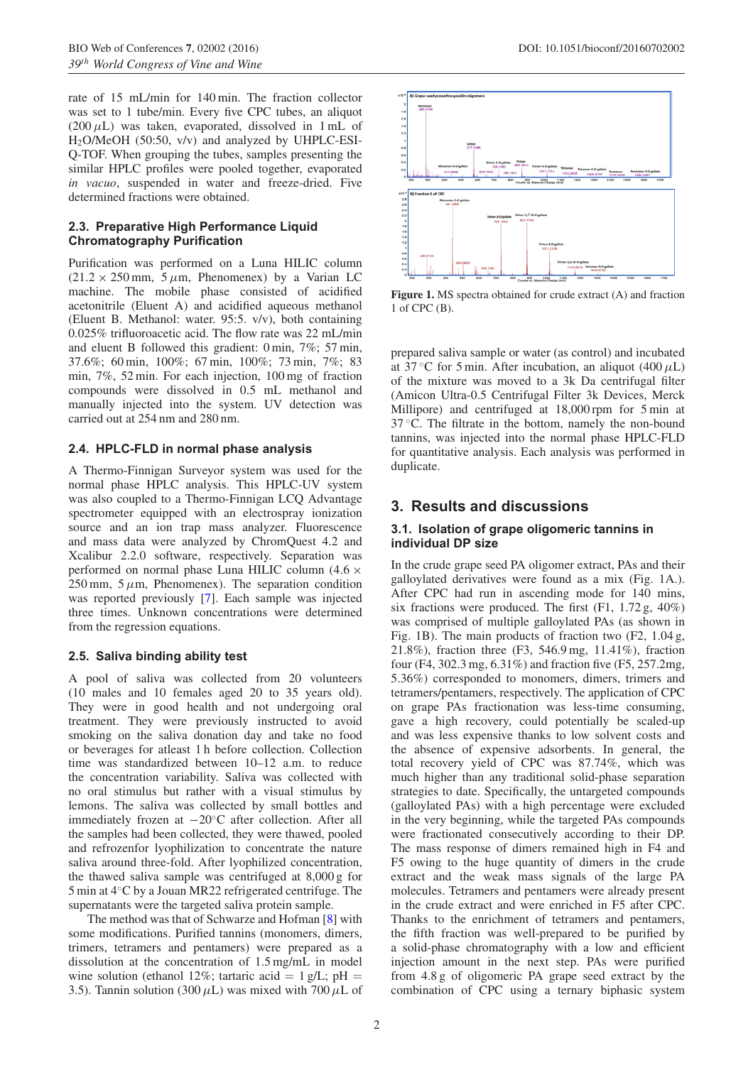rate of 15 mL/min for 140 min. The fraction collector was set to 1 tube/min. Every five CPC tubes, an aliquot  $(200 \,\mu L)$  was taken, evaporated, dissolved in 1 mL of H2O/MeOH (50:50, v/v) and analyzed by UHPLC-ESI-Q-TOF. When grouping the tubes, samples presenting the similar HPLC profiles were pooled together, evaporated *in vacuo*, suspended in water and freeze-dried. Five determined fractions were obtained.

## **2.3. Preparative High Performance Liquid Chromatography Purification**

Purification was performed on a Luna HILIC column  $(21.2 \times 250 \text{ mm}, 5 \mu \text{m}$ , Phenomenex) by a Varian LC machine. The mobile phase consisted of acidified acetonitrile (Eluent A) and acidified aqueous methanol (Eluent B. Methanol: water. 95:5. v/v), both containing 0.025% trifluoroacetic acid. The flow rate was 22 mL/min and eluent B followed this gradient: 0 min, 7%; 57 min, 37.6%; 60 min, 100%; 67 min, 100%; 73 min, 7%; 83 min, 7%, 52 min. For each injection, 100 mg of fraction compounds were dissolved in 0.5 mL methanol and manually injected into the system. UV detection was carried out at 254 nm and 280 nm.

# **2.4. HPLC-FLD in normal phase analysis**

A Thermo-Finnigan Surveyor system was used for the normal phase HPLC analysis. This HPLC-UV system was also coupled to a Thermo-Finnigan LCQ Advantage spectrometer equipped with an electrospray ionization source and an ion trap mass analyzer. Fluorescence and mass data were analyzed by ChromQuest 4.2 and Xcalibur 2.2.0 software, respectively. Separation was performed on normal phase Luna HILIC column (4*.*6 ×  $250$  mm,  $5 \mu$ m, Phenomenex). The separation condition was reported previously [\[7\]](#page-3-6). Each sample was injected three times. Unknown concentrations were determined from the regression equations.

### **2.5. Saliva binding ability test**

A pool of saliva was collected from 20 volunteers (10 males and 10 females aged 20 to 35 years old). They were in good health and not undergoing oral treatment. They were previously instructed to avoid smoking on the saliva donation day and take no food or beverages for atleast 1 h before collection. Collection time was standardized between 10–12 a.m. to reduce the concentration variability. Saliva was collected with no oral stimulus but rather with a visual stimulus by lemons. The saliva was collected by small bottles and immediately frozen at −20◦C after collection. After all the samples had been collected, they were thawed, pooled and refrozenfor lyophilization to concentrate the nature saliva around three-fold. After lyophilized concentration, the thawed saliva sample was centrifuged at 8,000 g for 5 min at 4◦C by a Jouan MR22 refrigerated centrifuge. The supernatants were the targeted saliva protein sample.

The method was that of Schwarze and Hofman [\[8](#page-4-0)] with some modifications. Purified tannins (monomers, dimers, trimers, tetramers and pentamers) were prepared as a dissolution at the concentration of 1.5 mg/mL in model wine solution (ethanol 12%; tartaric acid = 1 g/L;  $pH =$ 3.5). Tannin solution (300  $\mu$ L) was mixed with 700  $\mu$ L of



**Figure 1.** MS spectra obtained for crude extract (A) and fraction 1 of CPC (B).

prepared saliva sample or water (as control) and incubated at  $37^{\circ}$ C for 5 min. After incubation, an aliquot (400  $\mu$ L) of the mixture was moved to a 3k Da centrifugal filter (Amicon Ultra-0.5 Centrifugal Filter 3k Devices, Merck Millipore) and centrifuged at 18,000 rpm for 5 min at  $37 \degree$ C. The filtrate in the bottom, namely the non-bound tannins, was injected into the normal phase HPLC-FLD for quantitative analysis. Each analysis was performed in duplicate.

# **3. Results and discussions**

#### **3.1. Isolation of grape oligomeric tannins in individual DP size**

In the crude grape seed PA oligomer extract, PAs and their galloylated derivatives were found as a mix (Fig. 1A.). After CPC had run in ascending mode for 140 mins, six fractions were produced. The first (F1, 1.72 g, 40%) was comprised of multiple galloylated PAs (as shown in Fig. 1B). The main products of fraction two (F2, 1.04 g, 21.8%), fraction three (F3, 546.9 mg, 11.41%), fraction four (F4, 302.3 mg, 6.31%) and fraction five (F5, 257.2mg, 5.36%) corresponded to monomers, dimers, trimers and tetramers/pentamers, respectively. The application of CPC on grape PAs fractionation was less-time consuming, gave a high recovery, could potentially be scaled-up and was less expensive thanks to low solvent costs and the absence of expensive adsorbents. In general, the total recovery yield of CPC was 87.74%, which was much higher than any traditional solid-phase separation strategies to date. Specifically, the untargeted compounds (galloylated PAs) with a high percentage were excluded in the very beginning, while the targeted PAs compounds were fractionated consecutively according to their DP. The mass response of dimers remained high in F4 and F5 owing to the huge quantity of dimers in the crude extract and the weak mass signals of the large PA molecules. Tetramers and pentamers were already present in the crude extract and were enriched in F5 after CPC. Thanks to the enrichment of tetramers and pentamers, the fifth fraction was well-prepared to be purified by a solid-phase chromatography with a low and efficient injection amount in the next step. PAs were purified from 4.8 g of oligomeric PA grape seed extract by the combination of CPC using a ternary biphasic system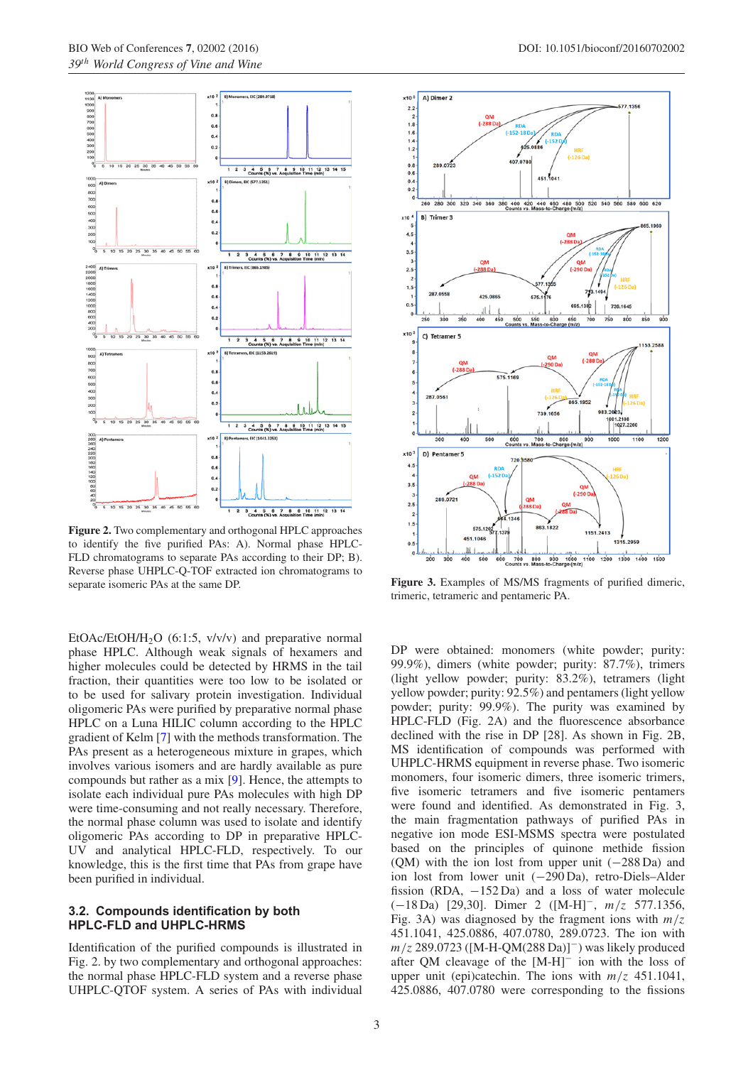

**Figure 2.** Two complementary and orthogonal HPLC approaches to identify the five purified PAs: A). Normal phase HPLC-FLD chromatograms to separate PAs according to their DP; B). Reverse phase UHPLC-Q-TOF extracted ion chromatograms to separate isomeric PAs at the same DP.

EtOAc/EtOH/H<sub>2</sub>O (6:1:5,  $v/v/v$ ) and preparative normal phase HPLC. Although weak signals of hexamers and higher molecules could be detected by HRMS in the tail fraction, their quantities were too low to be isolated or to be used for salivary protein investigation. Individual oligomeric PAs were purified by preparative normal phase HPLC on a Luna HILIC column according to the HPLC gradient of Kelm [\[7\]](#page-3-6) with the methods transformation. The PAs present as a heterogeneous mixture in grapes, which involves various isomers and are hardly available as pure compounds but rather as a mix [\[9](#page-4-1)]. Hence, the attempts to isolate each individual pure PAs molecules with high DP were time-consuming and not really necessary. Therefore, the normal phase column was used to isolate and identify oligomeric PAs according to DP in preparative HPLC-UV and analytical HPLC-FLD, respectively. To our knowledge, this is the first time that PAs from grape have been purified in individual.

#### **3.2. Compounds identification by both HPLC-FLD and UHPLC-HRMS**

Identification of the purified compounds is illustrated in Fig. 2. by two complementary and orthogonal approaches: the normal phase HPLC-FLD system and a reverse phase UHPLC-QTOF system. A series of PAs with individual



**Figure 3.** Examples of MS/MS fragments of purified dimeric, trimeric, tetrameric and pentameric PA.

DP were obtained: monomers (white powder; purity: 99.9%), dimers (white powder; purity: 87.7%), trimers (light yellow powder; purity: 83.2%), tetramers (light yellow powder; purity: 92.5%) and pentamers (light yellow powder; purity: 99.9%). The purity was examined by HPLC-FLD (Fig. 2A) and the fluorescence absorbance declined with the rise in DP [28]. As shown in Fig. 2B, MS identification of compounds was performed with UHPLC-HRMS equipment in reverse phase. Two isomeric monomers, four isomeric dimers, three isomeric trimers, five isomeric tetramers and five isomeric pentamers were found and identified. As demonstrated in Fig. 3, the main fragmentation pathways of purified PAs in negative ion mode ESI-MSMS spectra were postulated based on the principles of quinone methide fission (QM) with the ion lost from upper unit  $(-288 \text{ Da})$  and ion lost from lower unit (−290 Da), retro-Diels–Alder fission (RDA, −152 Da) and a loss of water molecule (−18 Da) [29,30]. Dimer 2 ([M-H]−, *m/z* 577.1356, Fig. 3A) was diagnosed by the fragment ions with  $m/z$ 451.1041, 425.0886, 407.0780, 289.0723. The ion with *m*/*z* 289.0723 ([M-H-QM(288 Da)]<sup>−</sup>) was likely produced after QM cleavage of the [M-H]<sup>−</sup> ion with the loss of upper unit (epi)catechin. The ions with *m/z* 451.1041, 425.0886, 407.0780 were corresponding to the fissions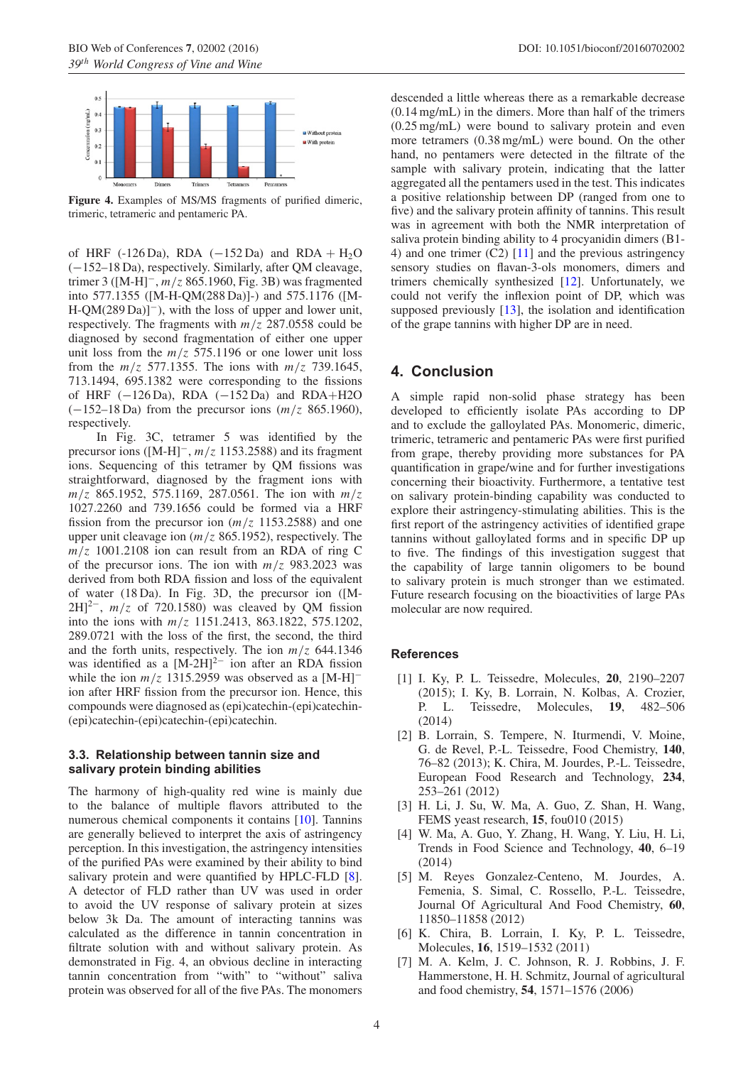

**Figure 4.** Examples of MS/MS fragments of purified dimeric, trimeric, tetrameric and pentameric PA.

of HRF (-126 Da), RDA ( $-152$  Da) and RDA + H<sub>2</sub>O (−152–18 Da), respectively. Similarly, after QM cleavage, trimer 3 ([M-H]−, *m/z* 865.1960, Fig. 3B) was fragmented into 577.1355 ([M-H-QM(288 Da)]-) and 575.1176 ([M-H-QM(289 Da)]−), with the loss of upper and lower unit, respectively. The fragments with *m/z* 287.0558 could be diagnosed by second fragmentation of either one upper unit loss from the *m/z* 575.1196 or one lower unit loss from the  $m/z$  577.1355. The ions with  $m/z$  739.1645, 713.1494, 695.1382 were corresponding to the fissions of HRF (−126 Da), RDA (−152 Da) and RDA+H2O (−152–18 Da) from the precursor ions (*m/z* 865.1960), respectively.

In Fig. 3C, tetramer 5 was identified by the precursor ions ([M-H]−, *m/z* 1153.2588) and its fragment ions. Sequencing of this tetramer by QM fissions was straightforward, diagnosed by the fragment ions with *m/z* 865.1952, 575.1169, 287.0561. The ion with *m/z* 1027.2260 and 739.1656 could be formed via a HRF fission from the precursor ion  $(m/z, 1153.2588)$  and one upper unit cleavage ion (*m/z* 865.1952), respectively. The  $m/z$  1001.2108 ion can result from an RDA of ring C of the precursor ions. The ion with  $m/z$  983.2023 was derived from both RDA fission and loss of the equivalent of water (18 Da). In Fig. 3D, the precursor ion ([M- $2H$ <sup>2−</sup>,  $m/z$  of 720.1580) was cleaved by QM fission into the ions with *m/z* 1151.2413, 863.1822, 575.1202, 289.0721 with the loss of the first, the second, the third and the forth units, respectively. The ion  $m/z$  644.1346 was identified as a  $[M-2H]^{2-}$  ion after an RDA fission while the ion  $m/z$  1315.2959 was observed as a [M-H]<sup>-</sup> ion after HRF fission from the precursor ion. Hence, this compounds were diagnosed as (epi)catechin-(epi)catechin- (epi)catechin-(epi)catechin-(epi)catechin.

### **3.3. Relationship between tannin size and salivary protein binding abilities**

The harmony of high-quality red wine is mainly due to the balance of multiple flavors attributed to the numerous chemical components it contains [\[10\]](#page-4-2). Tannins are generally believed to interpret the axis of astringency perception. In this investigation, the astringency intensities of the purified PAs were examined by their ability to bind salivary protein and were quantified by HPLC-FLD [\[8\]](#page-4-0). A detector of FLD rather than UV was used in order to avoid the UV response of salivary protein at sizes below 3k Da. The amount of interacting tannins was calculated as the difference in tannin concentration in filtrate solution with and without salivary protein. As demonstrated in Fig. 4, an obvious decline in interacting tannin concentration from "with" to "without" saliva protein was observed for all of the five PAs. The monomers descended a little whereas there as a remarkable decrease (0.14 mg/mL) in the dimers. More than half of the trimers (0.25 mg/mL) were bound to salivary protein and even more tetramers (0.38 mg/mL) were bound. On the other hand, no pentamers were detected in the filtrate of the sample with salivary protein, indicating that the latter aggregated all the pentamers used in the test. This indicates a positive relationship between DP (ranged from one to five) and the salivary protein affinity of tannins. This result was in agreement with both the NMR interpretation of saliva protein binding ability to 4 procyanidin dimers (B1- 4) and one trimer  $(C2)$  [\[11](#page-4-3)] and the previous astringency sensory studies on flavan-3-ols monomers, dimers and trimers chemically synthesized [\[12\]](#page-4-4). Unfortunately, we could not verify the inflexion point of DP, which was supposed previously [\[13](#page-4-5)], the isolation and identification of the grape tannins with higher DP are in need.

# **4. Conclusion**

A simple rapid non-solid phase strategy has been developed to efficiently isolate PAs according to DP and to exclude the galloylated PAs. Monomeric, dimeric, trimeric, tetrameric and pentameric PAs were first purified from grape, thereby providing more substances for PA quantification in grape/wine and for further investigations concerning their bioactivity. Furthermore, a tentative test on salivary protein-binding capability was conducted to explore their astringency-stimulating abilities. This is the first report of the astringency activities of identified grape tannins without galloylated forms and in specific DP up to five. The findings of this investigation suggest that the capability of large tannin oligomers to be bound to salivary protein is much stronger than we estimated. Future research focusing on the bioactivities of large PAs molecular are now required.

#### <span id="page-3-0"></span>**References**

- [1] I. Ky, P. L. Teissedre, Molecules, **20**, 2190–2207 (2015); I. Ky, B. Lorrain, N. Kolbas, A. Crozier, P. L. Teissedre, Molecules, **19**, 482–506 (2014)
- <span id="page-3-1"></span>[2] B. Lorrain, S. Tempere, N. Iturmendi, V. Moine, G. de Revel, P.-L. Teissedre, Food Chemistry, **140**, 76–82 (2013); K. Chira, M. Jourdes, P.-L. Teissedre, European Food Research and Technology, **234**, 253–261 (2012)
- <span id="page-3-2"></span>[3] H. Li, J. Su, W. Ma, A. Guo, Z. Shan, H. Wang, FEMS yeast research, **15**, fou010 (2015)
- <span id="page-3-3"></span>[4] W. Ma, A. Guo, Y. Zhang, H. Wang, Y. Liu, H. Li, Trends in Food Science and Technology, **40**, 6–19 (2014)
- <span id="page-3-4"></span>[5] M. Reyes Gonzalez-Centeno, M. Jourdes, A. Femenia, S. Simal, C. Rossello, P.-L. Teissedre, Journal Of Agricultural And Food Chemistry, **60**, 11850–11858 (2012)
- <span id="page-3-5"></span>[6] K. Chira, B. Lorrain, I. Ky, P. L. Teissedre, Molecules, **16**, 1519–1532 (2011)
- <span id="page-3-6"></span>[7] M. A. Kelm, J. C. Johnson, R. J. Robbins, J. F. Hammerstone, H. H. Schmitz, Journal of agricultural and food chemistry, **54**, 1571–1576 (2006)